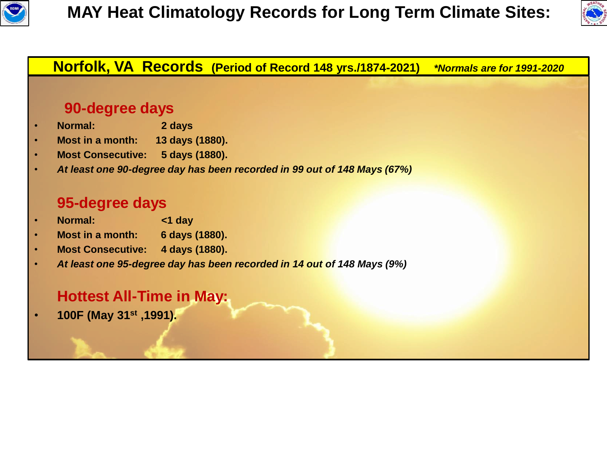



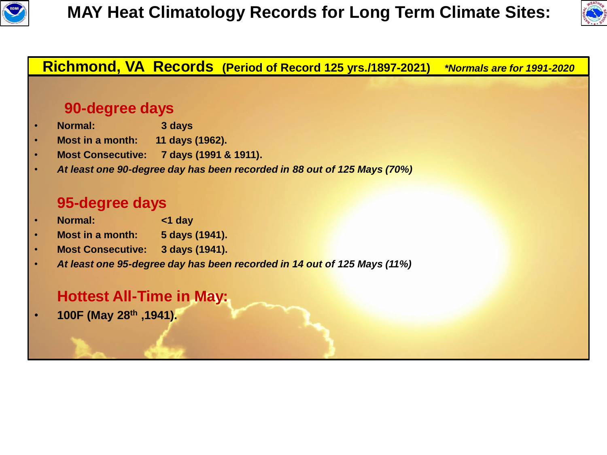